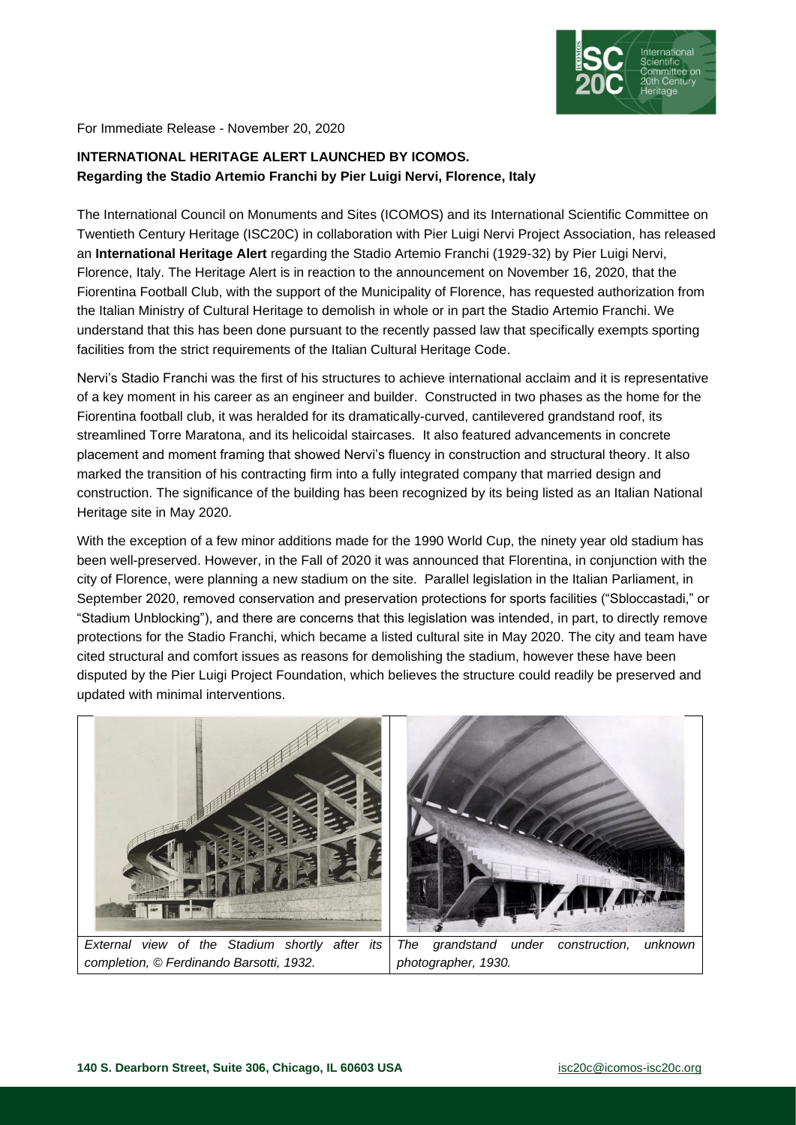

For Immediate Release - November 20, 2020

## **INTERNATIONAL HERITAGE ALERT LAUNCHED BY ICOMOS. Regarding the Stadio Artemio Franchi by Pier Luigi Nervi, Florence, Italy**

The International Council on Monuments and Sites (ICOMOS) and its International Scientific Committee on Twentieth Century Heritage (ISC20C) in collaboration with Pier Luigi Nervi Project Association, has released an **International Heritage Alert** regarding the Stadio Artemio Franchi (1929-32) by Pier Luigi Nervi, Florence, Italy. The Heritage Alert is in reaction to the announcement on November 16, 2020, that the Fiorentina Football Club, with the support of the Municipality of Florence, has requested authorization from the Italian Ministry of Cultural Heritage to demolish in whole or in part the Stadio Artemio Franchi. We understand that this has been done pursuant to the recently passed law that specifically exempts sporting facilities from the strict requirements of the Italian Cultural Heritage Code.

Nervi's Stadio Franchi was the first of his structures to achieve international acclaim and it is representative of a key moment in his career as an engineer and builder. Constructed in two phases as the home for the Fiorentina football club, it was heralded for its dramatically-curved, cantilevered grandstand roof, its streamlined Torre Maratona, and its helicoidal staircases. It also featured advancements in concrete placement and moment framing that showed Nervi's fluency in construction and structural theory. It also marked the transition of his contracting firm into a fully integrated company that married design and construction. The significance of the building has been recognized by its being listed as an Italian National Heritage site in May 2020.

With the exception of a few minor additions made for the 1990 World Cup, the ninety year old stadium has been well-preserved. However, in the Fall of 2020 it was announced that Florentina, in conjunction with the city of Florence, were planning a new stadium on the site. Parallel legislation in the Italian Parliament, in September 2020, removed conservation and preservation protections for sports facilities ("Sbloccastadi," or "Stadium Unblocking"), and there are concerns that this legislation was intended, in part, to directly remove protections for the Stadio Franchi, which became a listed cultural site in May 2020. The city and team have cited structural and comfort issues as reasons for demolishing the stadium, however these have been disputed by the Pier Luigi Project Foundation, which believes the structure could readily be preserved and updated with minimal interventions.